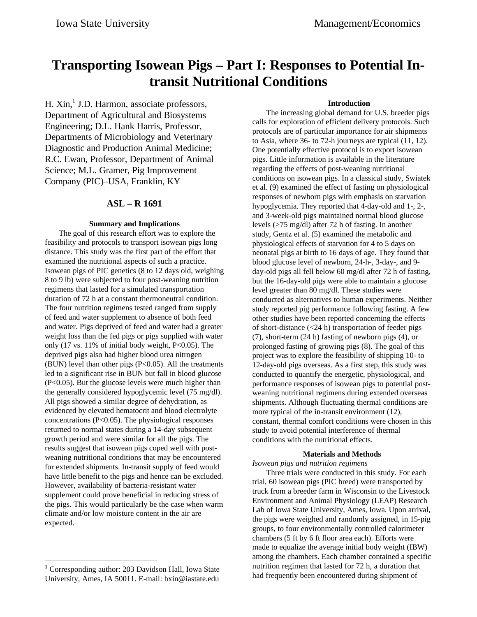# **Transporting Isowean Pigs – Part I: Responses to Potential Intransit Nutritional Conditions**

H. Xin,<sup>1</sup> J.D. Harmon, associate professors, Department of Agricultural and Biosystems Engineering; D.L. Hank Harris, Professor, Departments of Microbiology and Veterinary Diagnostic and Production Animal Medicine; R.C. Ewan, Professor, Department of Animal Science; M.L. Gramer, Pig Improvement Company (PIC)–USA, Franklin, KY

# **ASL – R 1691**

### **Summary and Implications**

The goal of this research effort was to explore the feasibility and protocols to transport isowean pigs long distance. This study was the first part of the effort that examined the nutritional aspects of such a practice. Isowean pigs of PIC genetics (8 to 12 days old, weighing 8 to 9 lb) were subjected to four post-weaning nutrition regimens that lasted for a simulated transportation duration of 72 h at a constant thermoneutral condition. The four nutrition regimens tested ranged from supply of feed and water supplement to absence of both feed and water. Pigs deprived of feed and water had a greater weight loss than the fed pigs or pigs supplied with water only  $(17 \text{ vs. } 11\% \text{ of initial body weight, } P<0.05)$ . The deprived pigs also had higher blood urea nitrogen (BUN) level than other pigs (P<0.05). All the treatments led to a significant rise in BUN but fall in blood glucose (P<0.05). But the glucose levels were much higher than the generally considered hypoglycemic level (75 mg/dl). All pigs showed a similar degree of dehydration, as evidenced by elevated hematocrit and blood electrolyte concentrations (P<0.05). The physiological responses returned to normal states during a 14-day subsequent growth period and were similar for all the pigs. The results suggest that isowean pigs coped well with postweaning nutritional conditions that may be encountered for extended shipments. In-transit supply of feed would have little benefit to the pigs and hence can be excluded. However, availability of bacteria-resistant water supplement could prove beneficial in reducing stress of the pigs. This would particularly be the case when warm climate and/or low moisture content in the air are expected.

-

## **Introduction**

The increasing global demand for U.S. breeder pigs calls for exploration of efficient delivery protocols. Such protocols are of particular importance for air shipments to Asia, where 36- to 72-h journeys are typical (11, 12). One potentially effective protocol is to export isowean pigs. Little information is available in the literature regarding the effects of post-weaning nutritional conditions on isowean pigs. In a classical study, Swiatek et al. (9) examined the effect of fasting on physiological responses of newborn pigs with emphasis on starvation hypoglycemia. They reported that 4-day-old and 1-, 2-, and 3-week-old pigs maintained normal blood glucose levels (>75 mg/dl) after 72 h of fasting. In another study, Gentz et al. (5) examined the metabolic and physiological effects of starvation for 4 to 5 days on neonatal pigs at birth to 16 days of age. They found that blood glucose level of newborn, 24-h-, 3-day-, and 9 day-old pigs all fell below 60 mg/dl after 72 h of fasting, but the 16-day-old pigs were able to maintain a glucose level greater than 80 mg/dl. These studies were conducted as alternatives to human experiments. Neither study reported pig performance following fasting. A few other studies have been reported concerning the effects of short-distance  $(<24$  h) transportation of feeder pigs (7), short-term (24 h) fasting of newborn pigs (4), or prolonged fasting of growing pigs (8). The goal of this project was to explore the feasibility of shipping 10- to 12-day-old pigs overseas. As a first step, this study was conducted to quantify the energetic, physiological, and performance responses of isowean pigs to potential postweaning nutritional regimens during extended overseas shipments. Although fluctuating thermal conditions are more typical of the in-transit environment (12), constant, thermal comfort conditions were chosen in this study to avoid potential interference of thermal conditions with the nutritional effects.

## **Materials and Methods**

# *Isowean pigs and nutrition regimens*

Three trials were conducted in this study. For each trial, 60 isowean pigs (PIC breed) were transported by truck from a breeder farm in Wisconsin to the Livestock Environment and Animal Physiology (LEAP) Research Lab of Iowa State University, Ames, Iowa. Upon arrival, the pigs were weighed and randomly assigned, in 15-pig groups, to four environmentally controlled calorimeter chambers (5 ft by 6 ft floor area each). Efforts were made to equalize the average initial body weight (IBW) among the chambers. Each chamber contained a specific nutrition regimen that lasted for 72 h, a duration that had frequently been encountered during shipment of

**<sup>1</sup>** Corresponding author: 203 Davidson Hall, Iowa State University, Ames, IA 50011. E-mail: hxin@iastate.edu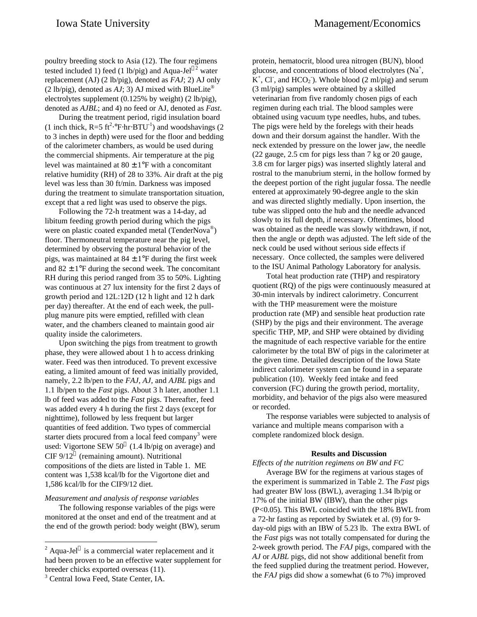poultry breeding stock to Asia (12). The four regimens tested included 1) feed (1 lb/pig) and Aqua-Jel<sup>®2</sup> water replacement (AJ) (2 lb/pig), denoted as *FAJ*; 2) AJ only (2 lb/pig), denoted as  $AJ$ ; 3) AJ mixed with BlueLite<sup>®</sup> electrolytes supplement (0.125% by weight) (2 lb/pig), denoted as *AJBL*; and 4) no feed or AJ, denoted as *Fast*.

During the treatment period, rigid insulation board (1 inch thick,  $R = 5$  ft<sup>2</sup>.°F⋅hr⋅BTU<sup>-1</sup>) and woodshavings (2 to 3 inches in depth) were used for the floor and bedding of the calorimeter chambers, as would be used during the commercial shipments. Air temperature at the pig level was maintained at  $80 \pm 1$ °F with a concomitant relative humidity (RH) of 28 to 33%. Air draft at the pig level was less than 30 ft/min. Darkness was imposed during the treatment to simulate transportation situation, except that a red light was used to observe the pigs.

Following the 72-h treatment was a 14-day, ad libitum feeding growth period during which the pigs were on plastic coated expanded metal (TenderNova®) floor. Thermoneutral temperature near the pig level, determined by observing the postural behavior of the pigs, was maintained at  $84 \pm 1$ °F during the first week and  $82 \pm 1$ °F during the second week. The concomitant RH during this period ranged from 35 to 50%. Lighting was continuous at 27 lux intensity for the first 2 days of growth period and 12L:12D (12 h light and 12 h dark per day) thereafter. At the end of each week, the pullplug manure pits were emptied, refilled with clean water, and the chambers cleaned to maintain good air quality inside the calorimeters.

Upon switching the pigs from treatment to growth phase, they were allowed about 1 h to access drinking water. Feed was then introduced. To prevent excessive eating, a limited amount of feed was initially provided, namely, 2.2 lb/pen to the *FAJ, AJ*, and *AJBL* pigs and 1.1 lb/pen to the *Fast* pigs. About 3 h later, another 1.1 lb of feed was added to the *Fast* pigs. Thereafter, feed was added every 4 h during the first 2 days (except for nighttime), followed by less frequent but larger quantities of feed addition. Two types of commercial starter diets procured from a local feed company<sup>3</sup> were used: Vigortone SEW  $50^{\circ}$  (1.4 lb/pig on average) and CIF  $9/12^{\circ}$  (remaining amount). Nutritional compositions of the diets are listed in Table 1. ME content was 1,538 kcal/lb for the Vigortone diet and 1,586 kcal/lb for the CIF9/12 diet.

## *Measurement and analysis of response variables*

The following response variables of the pigs were monitored at the onset and end of the treatment and at the end of the growth period: body weight (BW), serum

-

protein, hematocrit, blood urea nitrogen (BUN), blood glucose, and concentrations of blood electrolytes  $(Na^+)$  $K^+$ , Cl, and HCO<sub>2</sub><sup>\*</sup>). Whole blood (2 ml/pig) and serum (3 ml/pig) samples were obtained by a skilled veterinarian from five randomly chosen pigs of each regimen during each trial. The blood samples were obtained using vacuum type needles, hubs, and tubes. The pigs were held by the forelegs with their heads down and their dorsum against the handler. With the neck extended by pressure on the lower jaw, the needle (22 gauge, 2.5 cm for pigs less than 7 kg or 20 gauge, 3.8 cm for larger pigs) was inserted slightly lateral and rostral to the manubrium sterni, in the hollow formed by the deepest portion of the right jugular fossa. The needle entered at approximately 90-degree angle to the skin and was directed slightly medially. Upon insertion, the tube was slipped onto the hub and the needle advanced slowly to its full depth, if necessary. Oftentimes, blood was obtained as the needle was slowly withdrawn, if not, then the angle or depth was adjusted. The left side of the neck could be used without serious side effects if necessary. Once collected, the samples were delivered to the ISU Animal Pathology Laboratory for analysis.

Total heat production rate (THP) and respiratory quotient (RQ) of the pigs were continuously measured at 30-min intervals by indirect calorimetry. Concurrent with the THP measurement were the moisture production rate (MP) and sensible heat production rate (SHP) by the pigs and their environment. The average specific THP, MP, and SHP were obtained by dividing the magnitude of each respective variable for the entire calorimeter by the total BW of pigs in the calorimeter at the given time. Detailed description of the Iowa State indirect calorimeter system can be found in a separate publication (10). Weekly feed intake and feed conversion (FC) during the growth period, mortality, morbidity, and behavior of the pigs also were measured or recorded.

The response variables were subjected to analysis of variance and multiple means comparison with a complete randomized block design.

#### **Results and Discussion**

# *Effects of the nutrition regimens on BW and FC*

Average BW for the regimens at various stages of the experiment is summarized in Table 2. The *Fast* pigs had greater BW loss (BWL), averaging 1.34 lb/pig or 17% of the initial BW (IBW), than the other pigs (P<0.05). This BWL coincided with the 18% BWL from a 72-hr fasting as reported by Swiatek et al. (9) for 9 day-old pigs with an IBW of 5.23 lb. The extra BWL of the *Fast* pigs was not totally compensated for during the 2-week growth period. The *FAJ* pigs, compared with the *AJ* or *AJBL* pigs, did not show additional benefit from the feed supplied during the treatment period. However, the *FAJ* pigs did show a somewhat (6 to 7%) improved

<sup>&</sup>lt;sup>2</sup> Aqua-Jel® is a commercial water replacement and it had been proven to be an effective water supplement for breeder chicks exported overseas (11).

<sup>&</sup>lt;sup>3</sup> Central Iowa Feed, State Center, IA.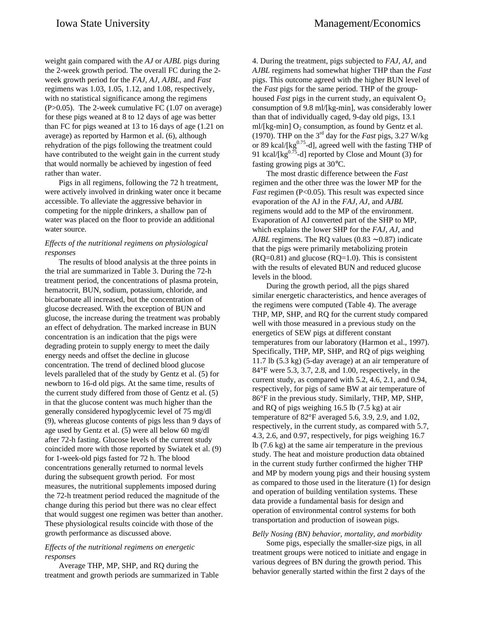weight gain compared with the *AJ* or *AJBL* pigs during the 2-week growth period. The overall FC during the 2 week growth period for the *FAJ*, *AJ*, *AJBL*, and *Fast* regimens was 1.03, 1.05, 1.12, and 1.08, respectively, with no statistical significance among the regimens (P>0.05). The 2-week cumulative FC (1.07 on average) for these pigs weaned at 8 to 12 days of age was better than FC for pigs weaned at 13 to 16 days of age (1.21 on average) as reported by Harmon et al. (6), although rehydration of the pigs following the treatment could have contributed to the weight gain in the current study that would normally be achieved by ingestion of feed rather than water.

Pigs in all regimens, following the 72 h treatment, were actively involved in drinking water once it became accessible. To alleviate the aggressive behavior in competing for the nipple drinkers, a shallow pan of water was placed on the floor to provide an additional water source.

# *Effects of the nutritional regimens on physiological responses*

The results of blood analysis at the three points in the trial are summarized in Table 3. During the 72-h treatment period, the concentrations of plasma protein, hematocrit, BUN, sodium, potassium, chloride, and bicarbonate all increased, but the concentration of glucose decreased. With the exception of BUN and glucose, the increase during the treatment was probably an effect of dehydration. The marked increase in BUN concentration is an indication that the pigs were degrading protein to supply energy to meet the daily energy needs and offset the decline in glucose concentration. The trend of declined blood glucose levels paralleled that of the study by Gentz et al. (5) for newborn to 16-d old pigs. At the same time, results of the current study differed from those of Gentz et al. (5) in that the glucose content was much higher than the generally considered hypoglycemic level of 75 mg/dl (9), whereas glucose contents of pigs less than 9 days of age used by Gentz et al. (5) were all below 60 mg/dl after 72-h fasting. Glucose levels of the current study coincided more with those reported by Swiatek et al. (9) for 1-week-old pigs fasted for 72 h. The blood concentrations generally returned to normal levels during the subsequent growth period. For most measures, the nutritional supplements imposed during the 72-h treatment period reduced the magnitude of the change during this period but there was no clear effect that would suggest one regimen was better than another. These physiological results coincide with those of the growth performance as discussed above.

# *Effects of the nutritional regimens on energetic responses*

Average THP, MP, SHP, and RQ during the treatment and growth periods are summarized in Table

4. During the treatment, pigs subjected to *FAJ, AJ*, and *AJBL* regimens had somewhat higher THP than the *Fast* pigs. This outcome agreed with the higher BUN level of the *Fast* pigs for the same period. THP of the grouphoused *Fast* pigs in the current study, an equivalent  $O_2$ consumption of 9.8 ml/[kg-min], was considerably lower than that of individually caged, 9-day old pigs, 13.1 ml/[kg-min]  $O_2$  consumption, as found by Gentz et al. (1970). THP on the 3rd day for the *Fast* pigs, 3.27 W/kg or 89 kcal/ $[kg<sup>0.75</sup>$ -d], agreed well with the fasting THP of 91 kcal/[kg $^{0.75}$ -d] reported by Close and Mount (3) for fasting growing pigs at 30°C.

The most drastic difference between the *Fast* regimen and the other three was the lower MP for the *Fast* regimen (P<0.05). This result was expected since evaporation of the AJ in the *FAJ, AJ*, and *AJBL* regimens would add to the MP of the environment. Evaporation of AJ converted part of the SHP to MP, which explains the lower SHP for the *FAJ, AJ*, and *AJBL* regimens. The RQ values (0.83 ∼ 0.87) indicate that the pigs were primarily metabolizing protein  $(RQ=0.81)$  and glucose  $(RQ=1.0)$ . This is consistent with the results of elevated BUN and reduced glucose levels in the blood.

During the growth period, all the pigs shared similar energetic characteristics, and hence averages of the regimens were computed (Table 4). The average THP, MP, SHP, and RQ for the current study compared well with those measured in a previous study on the energetics of SEW pigs at different constant temperatures from our laboratory (Harmon et al., 1997). Specifically, THP, MP, SHP, and RQ of pigs weighing 11.7 lb (5.3 kg) (5-day average) at an air temperature of 84°F were 5.3, 3.7, 2.8, and 1.00, respectively, in the current study, as compared with 5.2, 4.6, 2.1, and 0.94, respectively, for pigs of same BW at air temperature of 86°F in the previous study. Similarly, THP, MP, SHP, and RQ of pigs weighing 16.5 lb (7.5 kg) at air temperature of 82°F averaged 5.6, 3.9, 2.9, and 1.02, respectively, in the current study, as compared with 5.7, 4.3, 2.6, and 0.97, respectively, for pigs weighing 16.7 lb (7.6 kg) at the same air temperature in the previous study. The heat and moisture production data obtained in the current study further confirmed the higher THP and MP by modern young pigs and their housing system as compared to those used in the literature (1) for design and operation of building ventilation systems. These data provide a fundamental basis for design and operation of environmental control systems for both transportation and production of isowean pigs.

# *Belly Nosing (BN) behavior, mortality, and morbidity*

Some pigs, especially the smaller-size pigs, in all treatment groups were noticed to initiate and engage in various degrees of BN during the growth period. This behavior generally started within the first 2 days of the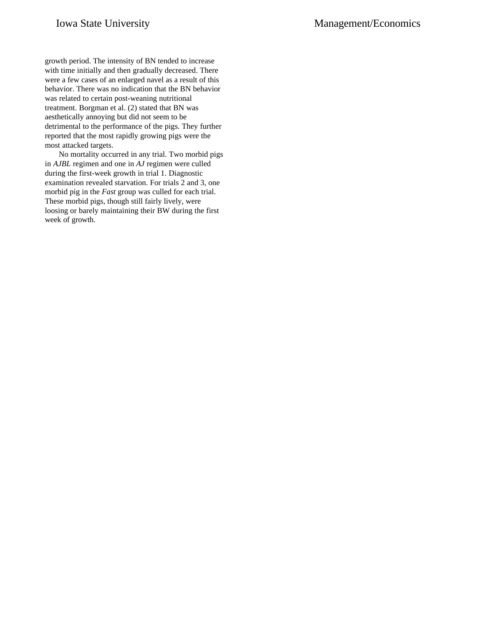growth period. The intensity of BN tended to increase with time initially and then gradually decreased. There were a few cases of an enlarged navel as a result of this behavior. There was no indication that the BN behavior was related to certain post-weaning nutritional treatment. Borgman et al. (2) stated that BN was aesthetically annoying but did not seem to be detrimental to the performance of the pigs. They further reported that the most rapidly growing pigs were the most attacked targets.

No mortality occurred in any trial. Two morbid pigs in *AJBL* regimen and one in *AJ* regimen were culled during the first-week growth in trial 1. Diagnostic examination revealed starvation. For trials 2 and 3, one morbid pig in the *Fast* group was culled for each trial. These morbid pigs, though still fairly lively, were loosing or barely maintaining their BW during the first week of growth.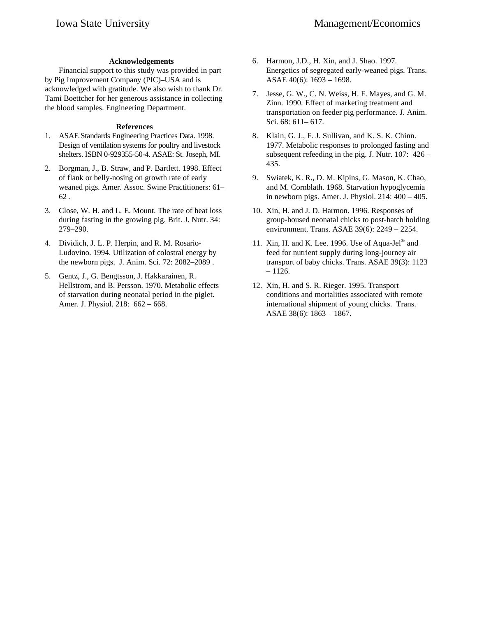# **Acknowledgements**

Financial support to this study was provided in part by Pig Improvement Company (PIC)–USA and is acknowledged with gratitude. We also wish to thank Dr. Tami Boettcher for her generous assistance in collecting the blood samples. Engineering Department.

## **References**

- 1. ASAE Standards Engineering Practices Data. 1998. Design of ventilation systems for poultry and livestock shelters. ISBN 0-929355-50-4. ASAE: St. Joseph, MI.
- 2. Borgman, J., B. Straw, and P. Bartlett. 1998. Effect of flank or belly-nosing on growth rate of early weaned pigs. Amer. Assoc. Swine Practitioners: 61– 62 .
- 3. Close, W. H. and L. E. Mount. The rate of heat loss during fasting in the growing pig. Brit. J. Nutr. 34: 279–290.
- 4. Dividich, J. L. P. Herpin, and R. M. Rosario-Ludovino. 1994. Utilization of colostral energy by the newborn pigs. J. Anim. Sci. 72: 2082–2089 .
- 5. Gentz, J., G. Bengtsson, J. Hakkarainen, R. Hellstrom, and B. Persson. 1970. Metabolic effects of starvation during neonatal period in the piglet. Amer. J. Physiol. 218: 662 – 668.
- 6. Harmon, J.D., H. Xin, and J. Shao. 1997. Energetics of segregated early-weaned pigs. Trans. ASAE 40(6): 1693 – 1698.
- 7. Jesse, G. W., C. N. Weiss, H. F. Mayes, and G. M. Zinn. 1990. Effect of marketing treatment and transportation on feeder pig performance. J. Anim. Sci. 68: 611– 617.
- 8. Klain, G. J., F. J. Sullivan, and K. S. K. Chinn. 1977. Metabolic responses to prolonged fasting and subsequent refeeding in the pig. J. Nutr. 107: 426 – 435.
- 9. Swiatek, K. R., D. M. Kipins, G. Mason, K. Chao, and M. Cornblath. 1968. Starvation hypoglycemia in newborn pigs. Amer. J. Physiol. 214: 400 – 405.
- 10. Xin, H. and J. D. Harmon. 1996. Responses of group-housed neonatal chicks to post-hatch holding environment. Trans. ASAE 39(6): 2249 – 2254.
- 11. Xin, H. and K. Lee. 1996. Use of Aqua-Jel® and feed for nutrient supply during long-journey air transport of baby chicks. Trans. ASAE 39(3): 1123  $-1126.$
- 12. Xin, H. and S. R. Rieger. 1995. Transport conditions and mortalities associated with remote international shipment of young chicks. Trans. ASAE 38(6): 1863 – 1867.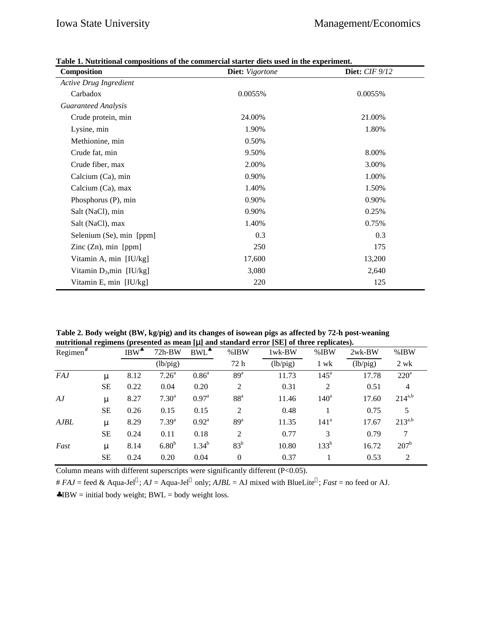| Composition                   | Diet: Vigortone | <b>Diet:</b> <i>CIF</i> 9/12 |  |  |
|-------------------------------|-----------------|------------------------------|--|--|
| <b>Active Drug Ingredient</b> |                 |                              |  |  |
| Carbadox                      | 0.0055%         | 0.0055%                      |  |  |
| <b>Guaranteed Analysis</b>    |                 |                              |  |  |
| Crude protein, min            | 24.00%          | 21.00%                       |  |  |
| Lysine, min                   | 1.90%           | 1.80%                        |  |  |
| Methionine, min               | 0.50%           |                              |  |  |
| Crude fat, min                | 9.50%           | 8.00%                        |  |  |
| Crude fiber, max              | 2.00%           | 3.00%                        |  |  |
| Calcium (Ca), min             | 0.90%           | 1.00%                        |  |  |
| Calcium (Ca), max             | 1.40%           | 1.50%                        |  |  |
| Phosphorus (P), min           | 0.90%           | 0.90%                        |  |  |
| Salt (NaCl), min              | 0.90%           | 0.25%                        |  |  |
| Salt (NaCl), max              | 1.40%           | 0.75%                        |  |  |
| Selenium (Se), min [ppm]      | 0.3             | 0.3                          |  |  |
| Zinc $(Zn)$ , min [ppm]       | 250             | 175                          |  |  |
| Vitamin A, min [IU/kg]        | 17,600          | 13,200                       |  |  |
| Vitamin $D_3$ , min [IU/kg]   | 3,080           | 2,640                        |  |  |
| Vitamin E, min [IU/kg]        | 220             | 125                          |  |  |

**Table 1. Nutritional compositions of the commercial starter diets used in the experiment.**

**Table 2. Body weight (BW, kg/pig) and its changes of isowean pigs as affected by 72-h post-weaning nutritional regimens (presented as mean [**μ**] and standard error [SE] of three replicates).**

|             | o         |         |                   | . .               |                 |           |                  |          |                  |  |
|-------------|-----------|---------|-------------------|-------------------|-----------------|-----------|------------------|----------|------------------|--|
| $Regimen^*$ |           | $IBW^*$ | $72h-BW$          | BWL <sup>*</sup>  | $%$ IBW         | $1$ wk-BW | %IBW             | $2wk-BW$ | %IBW             |  |
|             |           |         | (lb/pig)          |                   | 72 h            | (lb/pig)  | 1 wk             | (lb/pig) | 2 wk             |  |
| <i>FAJ</i>  | μ         | 8.12    | 7.26 <sup>a</sup> | $0.86^{\rm a}$    | 89 <sup>a</sup> | 11.73     | $145^{\circ}$    | 17.78    | $220^a$          |  |
|             | <b>SE</b> | 0.22    | 0.04              | 0.20              | 2               | 0.31      | 2                | 0.51     | $\overline{4}$   |  |
| AJ          | μ         | 8.27    | 7.30 <sup>a</sup> | $0.97^{\text{a}}$ | 88 <sup>a</sup> | 11.46     | 140 <sup>a</sup> | 17.60    | $214^{a,b}$      |  |
|             | <b>SE</b> | 0.26    | 0.15              | 0.15              | 2               | 0.48      |                  | 0.75     | 5                |  |
| <b>AJBL</b> | μ         | 8.29    | $7.39^{a}$        | $0.92^{\text{a}}$ | 89 <sup>a</sup> | 11.35     | 141 <sup>a</sup> | 17.67    | $213^{a,b}$      |  |
|             | <b>SE</b> | 0.24    | 0.11              | 0.18              | 2               | 0.77      | 3                | 0.79     | 7                |  |
| Fast        | μ         | 8.14    | 6.80 <sup>b</sup> | $1.34^{b}$        | 83 <sup>b</sup> | 10.80     | 133 <sup>b</sup> | 16.72    | 207 <sup>b</sup> |  |
|             | <b>SE</b> | 0.24    | 0.20              | 0.04              | $\theta$        | 0.37      |                  | 0.53     | 2                |  |
|             |           |         |                   |                   |                 |           |                  |          |                  |  |

Column means with different superscripts were significantly different (P<0.05).

#  $FAJ =$  feed & Aqua-Jel<sup>®</sup>;  $AJ =$  Aqua-Jel<sup>®</sup> only;  $AJBL =$  AJ mixed with BlueLite<sup>®</sup>; *Fast* = no feed or AJ.

 $\triangle$ IBW = initial body weight; BWL = body weight loss.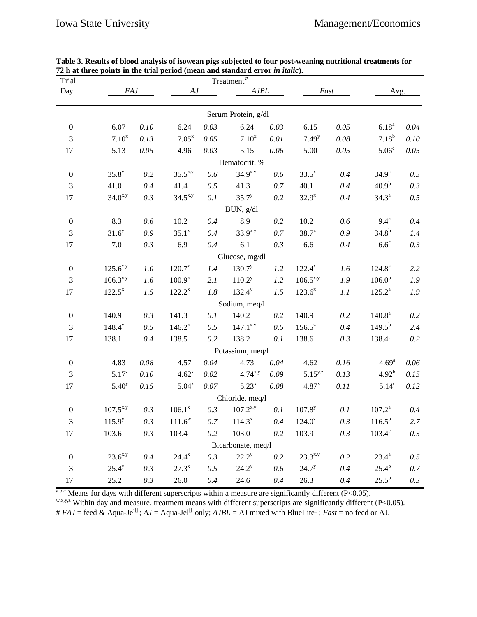| Trial            |                    |          |              |                            | $Treatment^{\#}$    |          |                      |          |                    |          |
|------------------|--------------------|----------|--------------|----------------------------|---------------------|----------|----------------------|----------|--------------------|----------|
| Day              | <b>FAJ</b>         |          |              | ${\cal A}{\cal J}$<br>AJBL |                     |          | Fast                 |          | Avg.               |          |
|                  |                    |          |              |                            |                     |          |                      |          |                    |          |
|                  |                    |          |              |                            | Serum Protein, g/dl |          |                      |          |                    |          |
| $\boldsymbol{0}$ | 6.07               | 0.10     | 6.24         | 0.03                       | 6.24                | 0.03     | 6.15                 | 0.05     | $6.18^{a}$         | $0.04\,$ |
| 3                | $7.10^{x}$         | 0.13     | $7.05^{x}$   | 0.05                       | $7.10^{x}$          | 0.01     | $7.49^{y}$           | $0.08\,$ | $7.18^{b}$         | $0.10\,$ |
| 17               | 5.13               | 0.05     | 4.96         | 0.03                       | 5.15                | $0.06\,$ | 5.00                 | 0.05     | 5.06 <sup>c</sup>  | $0.05\,$ |
|                  |                    |          |              |                            | Hematocrit, %       |          |                      |          |                    |          |
| $\boldsymbol{0}$ | $35.8^{y}$         | 0.2      | $35.5^{x,y}$ | 0.6                        | $34.9^{x,y}$        | 0.6      | $33.5^{x}$           | 0.4      | 34.9 <sup>a</sup>  | 0.5      |
| 3                | 41.0               | 0.4      | 41.4         | 0.5                        | 41.3                | 0.7      | 40.1                 | 0.4      | 40.9 <sup>b</sup>  | 0.3      |
| 17               | $34.0^{x,y}$       | 0.3      | $34.5^{x,y}$ | 0.1                        | $35.7^{y}$          | 0.2      | $32.9^{x}$           | 0.4      | $34.3^{\circ}$     | 0.5      |
|                  |                    |          |              |                            | BUN, g/dl           |          |                      |          |                    |          |
| $\boldsymbol{0}$ | 8.3                | 0.6      | 10.2         | 0.4                        | 8.9                 | 0.2      | $10.2\,$             | 0.6      | $9.4^{\mathrm{a}}$ | 0.4      |
| 3                | 31.6 <sup>y</sup>  | 0.9      | $35.1^x$     | 0.4                        | $33.9^{x,y}$        | $0.7\,$  | $38.7^{z}$           | 0.9      | $34.8^{b}$         | 1.4      |
| 17               | 7.0                | 0.3      | 6.9          | 0.4                        | 6.1                 | 0.3      | 6.6                  | 0.4      | $6.6^{\circ}$      | 0.3      |
|                  |                    |          |              |                            | Glucose, mg/dl      |          |                      |          |                    |          |
| $\boldsymbol{0}$ | $125.6^{x,y}$      | $1.0\,$  | $120.7^{x}$  | 1.4                        | $130.7^{y}$         | 1.2      | $122.4^{x}$          | 1.6      | $124.8^{\text{a}}$ | 2.2      |
| 3                | $106.3^{x,y}$      | 1.6      | $100.9^{x}$  | 2.1                        | $110.2^y$           | 1.2      | $106.5^{x,y}$        | 1.9      | 106.0 <sup>b</sup> | 1.9      |
| 17               | $122.5^x$          | 1.5      | $122.2^{x}$  | $1.8\,$                    | $132.4^y$           | 1.5      | $123.6^x$            | 1.1      | $125.2^a$          | 1.9      |
|                  |                    |          |              |                            | Sodium, meq/l       |          |                      |          |                    |          |
| $\boldsymbol{0}$ | 140.9              | 0.3      | 141.3        | 0.1                        | 140.2               | 0.2      | 140.9                | 0.2      | $140.8^{\text{a}}$ | 0.2      |
| 3                | $148.4^{y}$        | 0.5      | $146.2^{x}$  | 0.5                        | $147.1^{x,y}$       | 0.5      | $156.5^z$            | 0.4      | $149.5^{b}$        | 2.4      |
| 17               | 138.1              | 0.4      | 138.5        | 0.2                        | 138.2               | 0.1      | 138.6                | 0.3      | $138.4^\circ$      | $0.2\,$  |
|                  |                    |          |              |                            | Potassium, meq/l    |          |                      |          |                    |          |
| $\boldsymbol{0}$ | 4.83               | $0.08\,$ | 4.57         | 0.04                       | 4.73                | $0.04\,$ | 4.62                 | $0.16$   | $4.69^{a}$         | $0.06\,$ |
| 3                | $5.17^{z}$         | $0.10\,$ | $4.62^{x}$   | 0.02                       | $4.74^{x,y}$        | 0.09     | $5.15^{y.z}$         | 0.13     | 4.92 <sup>b</sup>  | 0.15     |
| 17               | $5.40^{y}$         | 0.15     | $5.04^x$     | 0.07                       | $5.23^{x}$          | $0.08\,$ | $4.87^{x}$           | $0.11\,$ | 5.14 <sup>c</sup>  | 0.12     |
| Chloride, meq/l  |                    |          |              |                            |                     |          |                      |          |                    |          |
| $\boldsymbol{0}$ | $107.5^{x,y}$      | 0.3      | $106.1^x$    | 0.3                        | $107.2^{x,y}$       | 0.1      | $107.8$ <sup>y</sup> | 0.1      | $107.2^a$          | 0.4      |
| 3                | 115.9 <sup>y</sup> | 0.3      | $111.6^w$    | 0.7                        | $114.3^{x}$         | $0.4\,$  | $124.0^z$            | 0.3      | $116.5^{b}$        | 2.7      |
| 17               | 103.6              | 0.3      | 103.4        | 0.2                        | 103.0               | 0.2      | 103.9                | 0.3      | $103.4^{\circ}$    | 0.3      |
|                  |                    |          |              |                            | Bicarbonate, meq/l  |          |                      |          |                    |          |
| $\boldsymbol{0}$ | $23.6^{x,y}$       | 0.4      | $24.4^x$     | 0.3                        | $22.2^y$            | 0.2      | $23.3^{x,y}$         | 0.2      | $23.4^{\circ}$     | 0.5      |
| 3                | $25.4^y$           | 0.3      | $27.3^{x}$   | 0.5                        | $24.2^y$            | 0.6      | $24.7^y$             | 0.4      | $25.4^{b}$         | 0.7      |
| 17               | 25.2               | 0.3      | 26.0         | 0.4                        | 24.6                | 0.4      | 26.3                 | 0.4      | $25.5^{\rm b}$     | 0.3      |

**Table 3. Results of blood analysis of isowean pigs subjected to four post-weaning nutritional treatments for 72 h at three points in the trial period (mean and standard error** *in italic***).**

a,b,c Means for days with different superscripts within a measure are significantly different (P<0.05).

w,x,y,z Within day and measure, treatment means with different superscripts are significantly different (P<0.05).

#  $FAJ =$  feed & Aqua-Jel<sup>®</sup>;  $AJ =$  Aqua-Jel<sup>®</sup> only;  $AJBL =$  AJ mixed with BlueLite<sup>®</sup>; *Fast* = no feed or AJ.